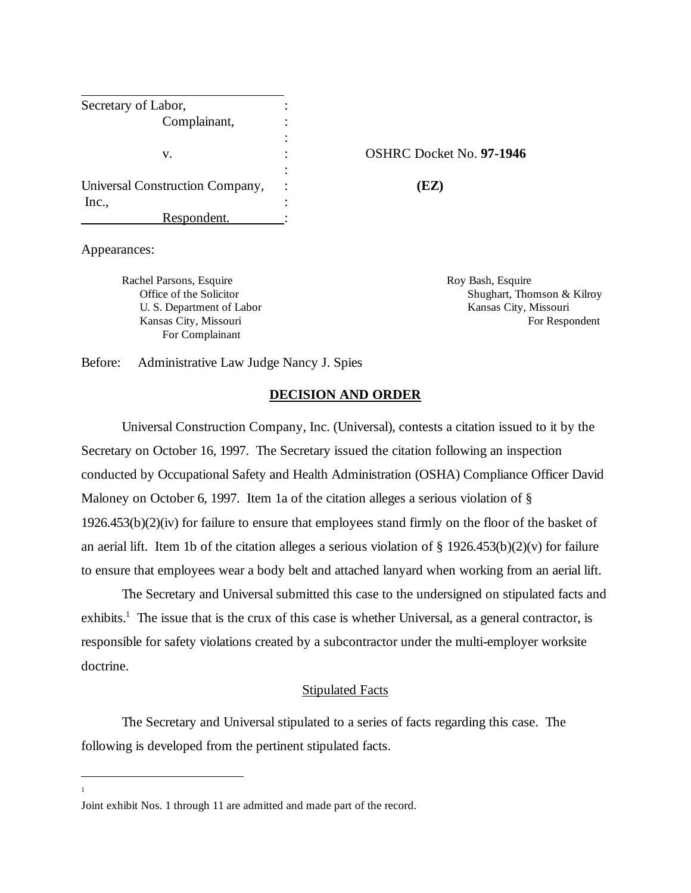| Secretary of Labor,             |                |                                 |
|---------------------------------|----------------|---------------------------------|
| Complainant,                    |                |                                 |
|                                 | $\blacksquare$ |                                 |
| v.                              | ٠<br>٠         | <b>OSHRC Docket No. 97-1946</b> |
|                                 | $\ddot{\cdot}$ |                                 |
| Universal Construction Company, | $\ddot{\cdot}$ | (EZ)                            |
| Inc.,                           | ٠              |                                 |
| Respondent.                     |                |                                 |

Appearances:

Rachel Parsons, Esquire Roy Bash, Esquire Roy Bash, Esquire U. S. Department of Labor Kansas City, Missouri For Complainant

Office of the Solicitor Shughart, Thomson & Kilroy Kansas City, Missouri **For Respondent** For Respondent

Before: Administrative Law Judge Nancy J. Spies

### **DECISION AND ORDER**

Universal Construction Company, Inc. (Universal), contests a citation issued to it by the Secretary on October 16, 1997. The Secretary issued the citation following an inspection conducted by Occupational Safety and Health Administration (OSHA) Compliance Officer David Maloney on October 6, 1997. Item 1a of the citation alleges a serious violation of § 1926.453(b)(2)(iv) for failure to ensure that employees stand firmly on the floor of the basket of an aerial lift. Item 1b of the citation alleges a serious violation of  $\S$  1926.453(b)(2)(v) for failure to ensure that employees wear a body belt and attached lanyard when working from an aerial lift.

The Secretary and Universal submitted this case to the undersigned on stipulated facts and exhibits.<sup>1</sup> The issue that is the crux of this case is whether Universal, as a general contractor, is responsible for safety violations created by a subcontractor under the multi-employer worksite doctrine.

## Stipulated Facts

The Secretary and Universal stipulated to a series of facts regarding this case. The following is developed from the pertinent stipulated facts.

1

Joint exhibit Nos. 1 through 11 are admitted and made part of the record.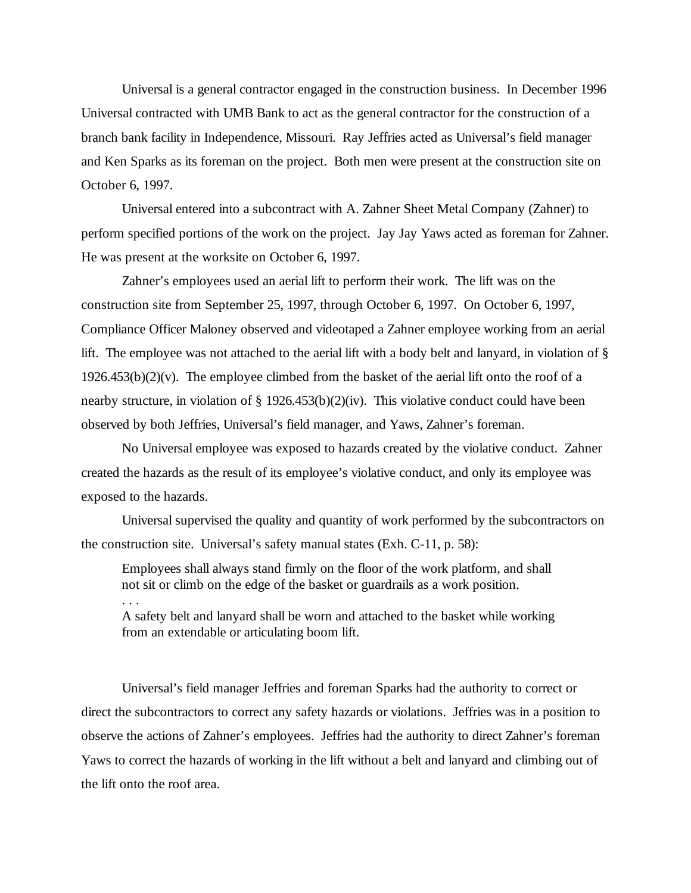Universal is a general contractor engaged in the construction business. In December 1996 Universal contracted with UMB Bank to act as the general contractor for the construction of a branch bank facility in Independence, Missouri. Ray Jeffries acted as Universal's field manager and Ken Sparks as its foreman on the project. Both men were present at the construction site on October 6, 1997.

Universal entered into a subcontract with A. Zahner Sheet Metal Company (Zahner) to perform specified portions of the work on the project. Jay Jay Yaws acted as foreman for Zahner. He was present at the worksite on October 6, 1997.

Zahner's employees used an aerial lift to perform their work. The lift was on the construction site from September 25, 1997, through October 6, 1997. On October 6, 1997, Compliance Officer Maloney observed and videotaped a Zahner employee working from an aerial lift. The employee was not attached to the aerial lift with a body belt and lanyard, in violation of §  $1926.453(b)(2)(v)$ . The employee climbed from the basket of the aerial lift onto the roof of a nearby structure, in violation of § 1926.453(b)(2)(iv). This violative conduct could have been observed by both Jeffries, Universal's field manager, and Yaws, Zahner's foreman.

No Universal employee was exposed to hazards created by the violative conduct. Zahner created the hazards as the result of its employee's violative conduct, and only its employee was exposed to the hazards.

Universal supervised the quality and quantity of work performed by the subcontractors on the construction site. Universal's safety manual states (Exh. C-11, p. 58):

Employees shall always stand firmly on the floor of the work platform, and shall not sit or climb on the edge of the basket or guardrails as a work position. . . .

A safety belt and lanyard shall be worn and attached to the basket while working from an extendable or articulating boom lift.

Universal's field manager Jeffries and foreman Sparks had the authority to correct or direct the subcontractors to correct any safety hazards or violations. Jeffries was in a position to observe the actions of Zahner's employees. Jeffries had the authority to direct Zahner's foreman Yaws to correct the hazards of working in the lift without a belt and lanyard and climbing out of the lift onto the roof area.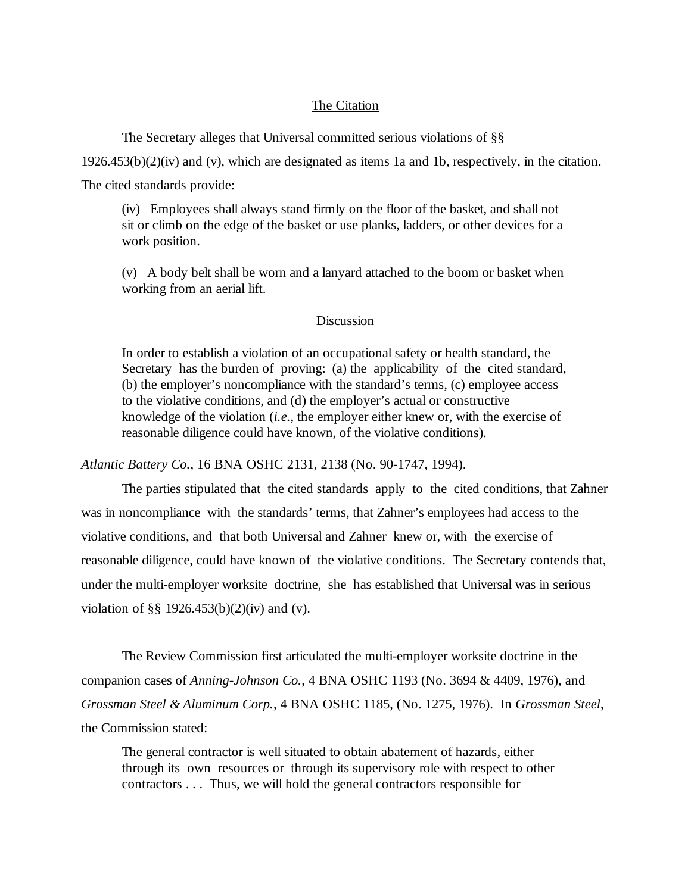# The Citation

The Secretary alleges that Universal committed serious violations of §§

1926.453(b)(2)(iv) and (v), which are designated as items 1a and 1b, respectively, in the citation.

The cited standards provide:

(iv) Employees shall always stand firmly on the floor of the basket, and shall not sit or climb on the edge of the basket or use planks, ladders, or other devices for a work position.

(v) A body belt shall be worn and a lanyard attached to the boom or basket when working from an aerial lift.

#### Discussion

In order to establish a violation of an occupational safety or health standard, the Secretary has the burden of proving: (a) the applicability of the cited standard, (b) the employer's noncompliance with the standard's terms, (c) employee access to the violative conditions, and (d) the employer's actual or constructive knowledge of the violation (*i.e.*, the employer either knew or, with the exercise of reasonable diligence could have known, of the violative conditions).

*Atlantic Battery Co.*, 16 BNA OSHC 2131, 2138 (No. 90-1747, 1994).

The parties stipulated that the cited standards apply to the cited conditions, that Zahner was in noncompliance with the standards' terms, that Zahner's employees had access to the violative conditions, and that both Universal and Zahner knew or, with the exercise of reasonable diligence, could have known of the violative conditions. The Secretary contends that, under the multi-employer worksite doctrine, she has established that Universal was in serious violation of §§ 1926.453(b)(2)(iv) and (v).

The Review Commission first articulated the multi-employer worksite doctrine in the companion cases of *Anning-Johnson Co.*, 4 BNA OSHC 1193 (No. 3694 & 4409, 1976), and *Grossman Steel & Aluminum Corp.*, 4 BNA OSHC 1185, (No. 1275, 1976). In *Grossman Steel*, the Commission stated:

The general contractor is well situated to obtain abatement of hazards, either through its own resources or through its supervisory role with respect to other contractors . . . Thus, we will hold the general contractors responsible for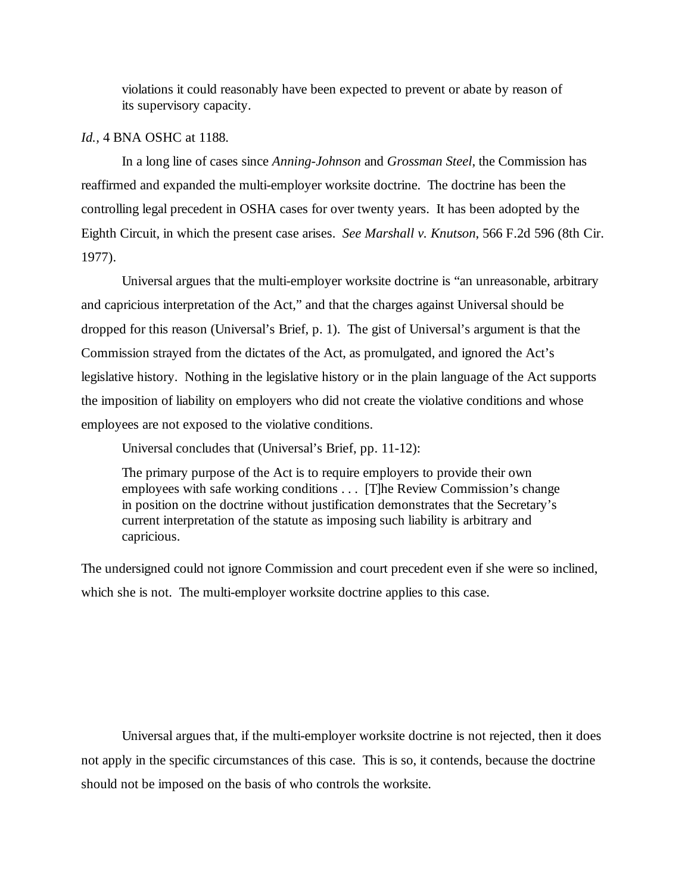violations it could reasonably have been expected to prevent or abate by reason of its supervisory capacity.

## *Id.,* 4 BNA OSHC at 1188.

In a long line of cases since *Anning-Johnson* and *Grossman Steel*, the Commission has reaffirmed and expanded the multi-employer worksite doctrine. The doctrine has been the controlling legal precedent in OSHA cases for over twenty years. It has been adopted by the Eighth Circuit, in which the present case arises. *See Marshall v. Knutson*, 566 F.2d 596 (8th Cir. 1977).

Universal argues that the multi-employer worksite doctrine is "an unreasonable, arbitrary and capricious interpretation of the Act," and that the charges against Universal should be dropped for this reason (Universal's Brief, p. 1). The gist of Universal's argument is that the Commission strayed from the dictates of the Act, as promulgated, and ignored the Act's legislative history. Nothing in the legislative history or in the plain language of the Act supports the imposition of liability on employers who did not create the violative conditions and whose employees are not exposed to the violative conditions.

Universal concludes that (Universal's Brief, pp. 11-12):

The primary purpose of the Act is to require employers to provide their own employees with safe working conditions . . . [T]he Review Commission's change in position on the doctrine without justification demonstrates that the Secretary's current interpretation of the statute as imposing such liability is arbitrary and capricious.

The undersigned could not ignore Commission and court precedent even if she were so inclined, which she is not. The multi-employer worksite doctrine applies to this case.

Universal argues that, if the multi-employer worksite doctrine is not rejected, then it does not apply in the specific circumstances of this case. This is so, it contends, because the doctrine should not be imposed on the basis of who controls the worksite.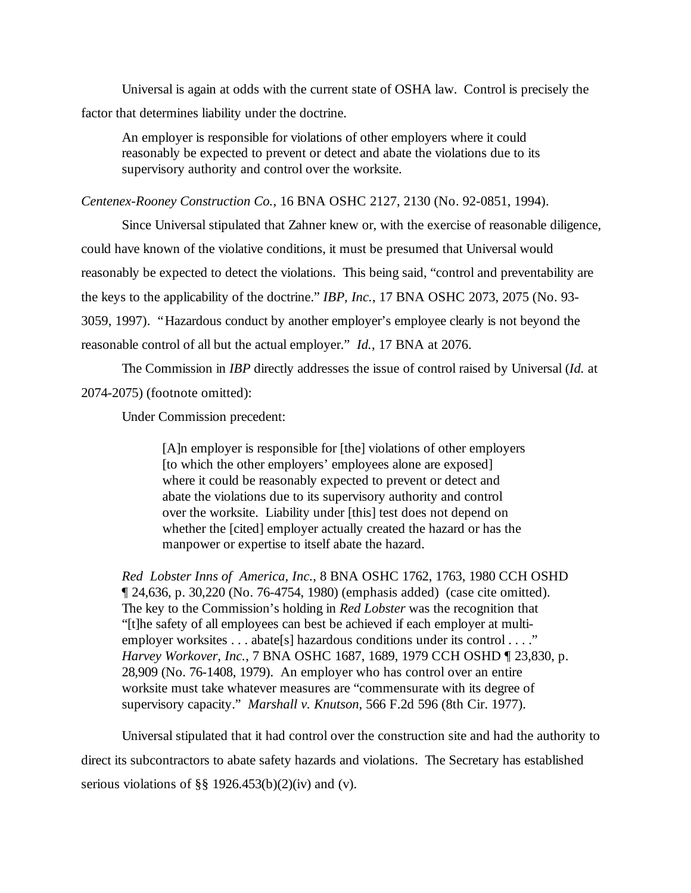Universal is again at odds with the current state of OSHA law. Control is precisely the factor that determines liability under the doctrine.

An employer is responsible for violations of other employers where it could reasonably be expected to prevent or detect and abate the violations due to its supervisory authority and control over the worksite.

*Centenex-Rooney Construction Co.*, 16 BNA OSHC 2127, 2130 (No. 92-0851, 1994).

Since Universal stipulated that Zahner knew or, with the exercise of reasonable diligence, could have known of the violative conditions, it must be presumed that Universal would reasonably be expected to detect the violations. This being said, "control and preventability are the keys to the applicability of the doctrine." *IBP, Inc.*, 17 BNA OSHC 2073, 2075 (No. 93- 3059, 1997). "Hazardous conduct by another employer's employee clearly is not beyond the reasonable control of all but the actual employer." *Id.*, 17 BNA at 2076.

The Commission in *IBP* directly addresses the issue of control raised by Universal (*Id.* at 2074-2075) (footnote omitted):

Under Commission precedent:

[A]n employer is responsible for [the] violations of other employers [to which the other employers' employees alone are exposed] where it could be reasonably expected to prevent or detect and abate the violations due to its supervisory authority and control over the worksite. Liability under [this] test does not depend on whether the [cited] employer actually created the hazard or has the manpower or expertise to itself abate the hazard.

*Red Lobster Inns of America, Inc.*, 8 BNA OSHC 1762, 1763, 1980 CCH OSHD ¶ 24,636, p. 30,220 (No. 76-4754, 1980) (emphasis added) (case cite omitted). The key to the Commission's holding in *Red Lobster* was the recognition that "[t]he safety of all employees can best be achieved if each employer at multiemployer worksites . . . abate[s] hazardous conditions under its control . . . ." *Harvey Workover, Inc.*, 7 BNA OSHC 1687, 1689, 1979 CCH OSHD ¶ 23,830, p. 28,909 (No. 76-1408, 1979). An employer who has control over an entire worksite must take whatever measures are "commensurate with its degree of supervisory capacity." *Marshall v. Knutson*, 566 F.2d 596 (8th Cir. 1977).

Universal stipulated that it had control over the construction site and had the authority to direct its subcontractors to abate safety hazards and violations. The Secretary has established serious violations of §§ 1926.453(b)(2)(iv) and (v).